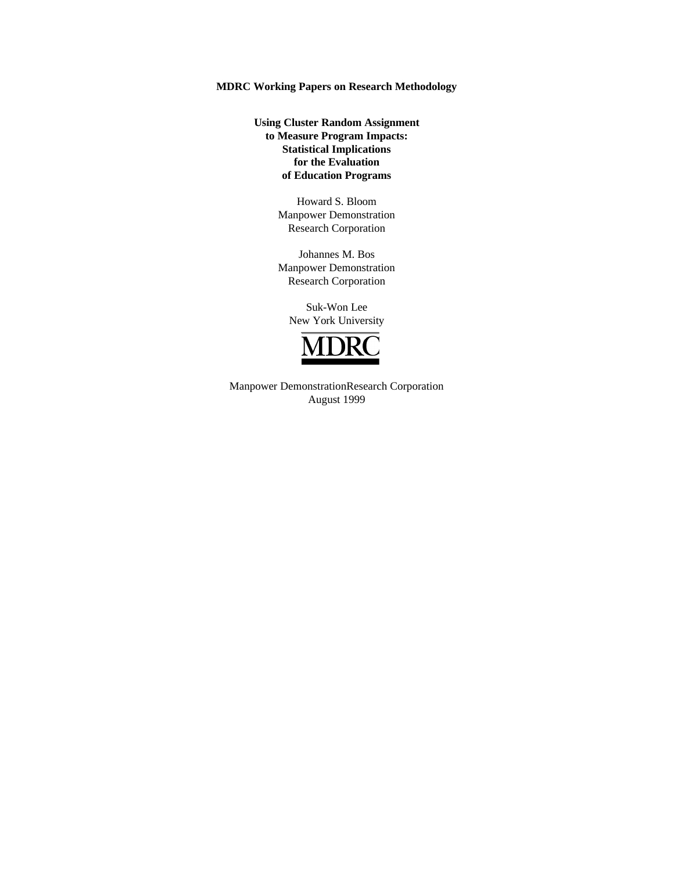# **MDRC Working Papers on Research Methodology**

**Using Cluster Random Assignment to Measure Program Impacts: Statistical Implications for the Evaluation of Education Programs**

> Howard S. Bloom Manpower Demonstration Research Corporation

> Johannes M. Bos Manpower Demonstration Research Corporation

Suk-Won Lee New York University



Manpower DemonstrationResearch Corporation August 1999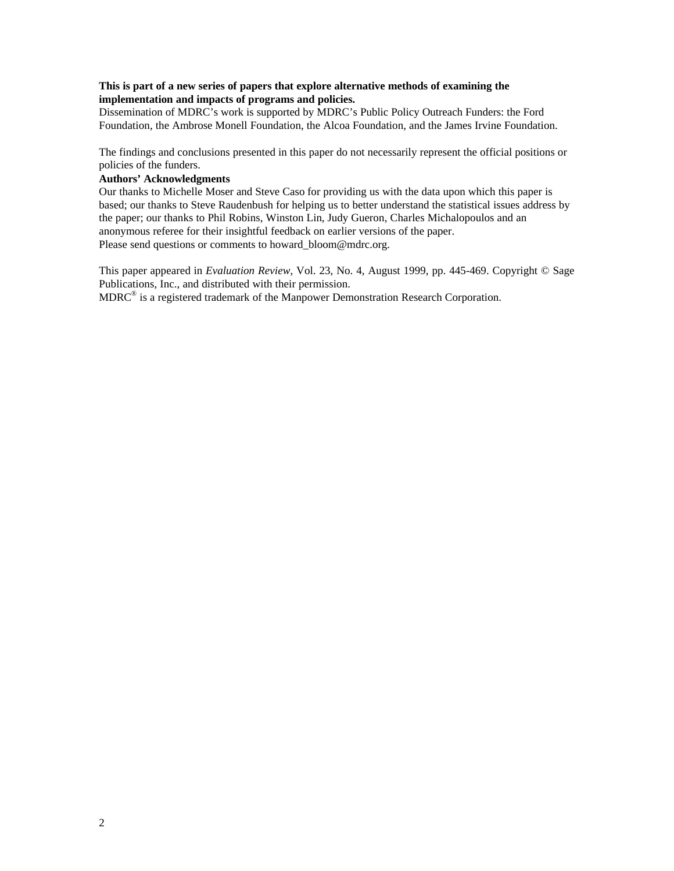## **This is part of a new series of papers that explore alternative methods of examining the implementation and impacts of programs and policies.**

Dissemination of MDRC's work is supported by MDRC's Public Policy Outreach Funders: the Ford Foundation, the Ambrose Monell Foundation, the Alcoa Foundation, and the James Irvine Foundation.

The findings and conclusions presented in this paper do not necessarily represent the official positions or policies of the funders.

## **Authors' Acknowledgments**

Our thanks to Michelle Moser and Steve Caso for providing us with the data upon which this paper is based; our thanks to Steve Raudenbush for helping us to better understand the statistical issues address by the paper; our thanks to Phil Robins, Winston Lin, Judy Gueron, Charles Michalopoulos and an anonymous referee for their insightful feedback on earlier versions of the paper. Please send questions or comments to howard bloom@mdrc.org.

This paper appeared in *Evaluation Review*, Vol. 23, No. 4, August 1999, pp. 445-469. Copyright © Sage Publications, Inc., and distributed with their permission.

MDRC® is a registered trademark of the Manpower Demonstration Research Corporation.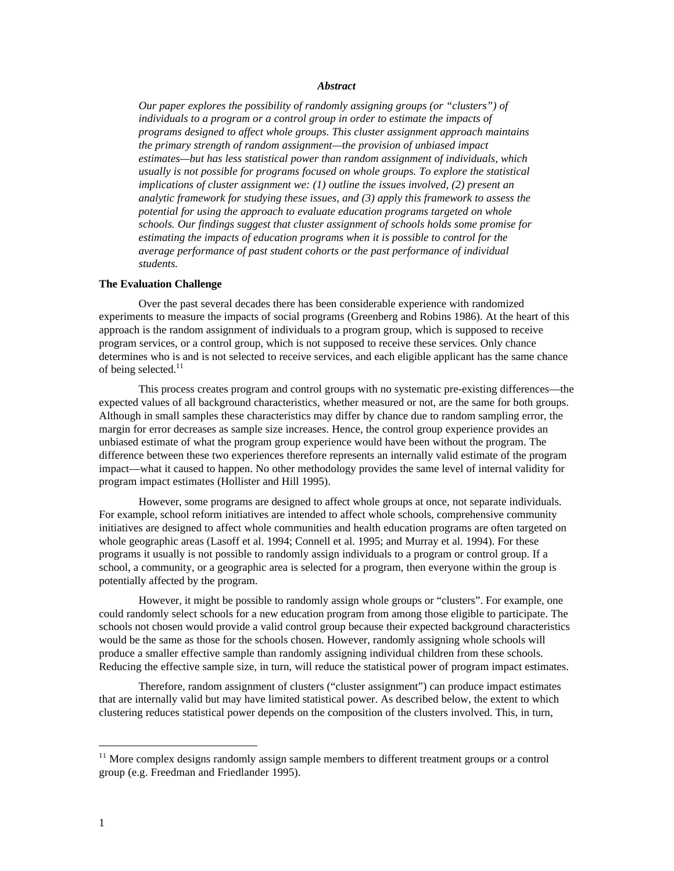#### *Abstract*

*Our paper explores the possibility of randomly assigning groups (or "clusters") of individuals to a program or a control group in order to estimate the impacts of programs designed to affect whole groups. This cluster assignment approach maintains the primary strength of random assignment—the provision of unbiased impact estimates—but has less statistical power than random assignment of individuals, which usually is not possible for programs focused on whole groups. To explore the statistical implications of cluster assignment we: (1) outline the issues involved, (2) present an analytic framework for studying these issues, and (3) apply this framework to assess the potential for using the approach to evaluate education programs targeted on whole schools. Our findings suggest that cluster assignment of schools holds some promise for estimating the impacts of education programs when it is possible to control for the average performance of past student cohorts or the past performance of individual students.*

#### **The Evaluation Challenge**

Over the past several decades there has been considerable experience with randomized experiments to measure the impacts of social programs (Greenberg and Robins 1986). At the heart of this approach is the random assignment of individuals to a program group, which is supposed to receive program services, or a control group, which is not supposed to receive these services. Only chance determines who is and is not selected to receive services, and each eligible applicant has the same chance of being selected. $^{11}$ 

This process creates program and control groups with no systematic pre-existing differences—the expected values of all background characteristics, whether measured or not, are the same for both groups. Although in small samples these characteristics may differ by chance due to random sampling error, the margin for error decreases as sample size increases. Hence, the control group experience provides an unbiased estimate of what the program group experience would have been without the program. The difference between these two experiences therefore represents an internally valid estimate of the program impact—what it caused to happen. No other methodology provides the same level of internal validity for program impact estimates (Hollister and Hill 1995).

However, some programs are designed to affect whole groups at once*,* not separate individuals. For example, school reform initiatives are intended to affect whole schools, comprehensive community initiatives are designed to affect whole communities and health education programs are often targeted on whole geographic areas (Lasoff et al. 1994; Connell et al. 1995; and Murray et al. 1994). For these programs it usually is not possible to randomly assign individuals to a program or control group. If a school, a community, or a geographic area is selected for a program, then everyone within the group is potentially affected by the program.

However, it might be possible to randomly assign whole groups or "clusters". For example, one could randomly select schools for a new education program from among those eligible to participate. The schools not chosen would provide a valid control group because their expected background characteristics would be the same as those for the schools chosen. However, randomly assigning whole schools will produce a smaller effective sample than randomly assigning individual children from these schools. Reducing the effective sample size, in turn, will reduce the statistical power of program impact estimates.

Therefore, random assignment of clusters ("cluster assignment") can produce impact estimates that are internally valid but may have limited statistical power. As described below, the extent to which clustering reduces statistical power depends on the composition of the clusters involved. This, in turn,

<sup>&</sup>lt;sup>11</sup> More complex designs randomly assign sample members to different treatment groups or a control group (e.g. Freedman and Friedlander 1995).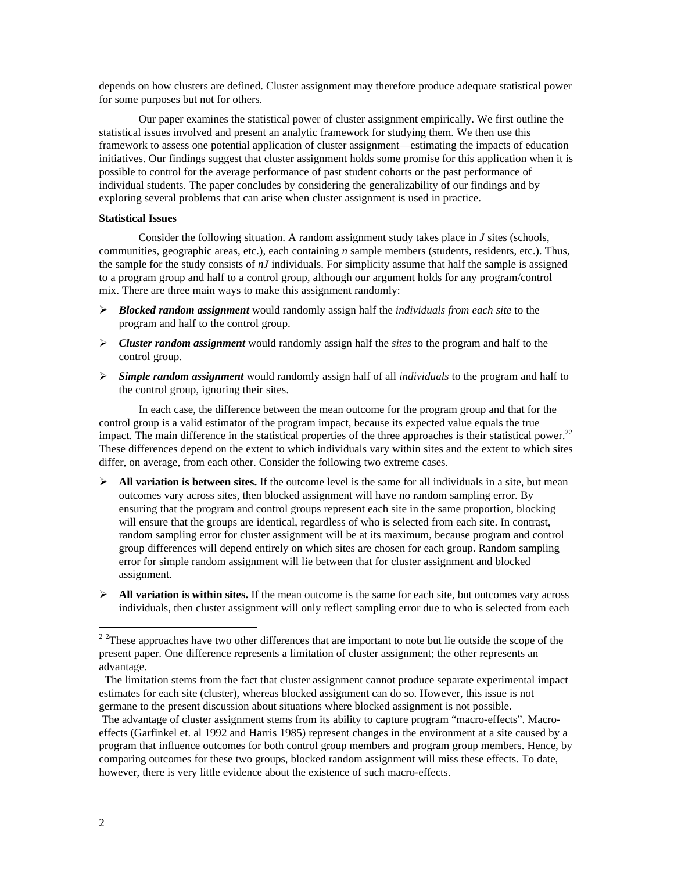depends on how clusters are defined. Cluster assignment may therefore produce adequate statistical power for some purposes but not for others.

Our paper examines the statistical power of cluster assignment empirically. We first outline the statistical issues involved and present an analytic framework for studying them. We then use this framework to assess one potential application of cluster assignment—estimating the impacts of education initiatives. Our findings suggest that cluster assignment holds some promise for this application when it is possible to control for the average performance of past student cohorts or the past performance of individual students. The paper concludes by considering the generalizability of our findings and by exploring several problems that can arise when cluster assignment is used in practice.

## **Statistical Issues**

Consider the following situation. A random assignment study takes place in *J* sites (schools, communities, geographic areas, etc.), each containing *n* sample members (students, residents, etc.). Thus, the sample for the study consists of *nJ* individuals. For simplicity assume that half the sample is assigned to a program group and half to a control group, although our argument holds for any program/control mix. There are three main ways to make this assignment randomly:

- ÿ *Blocked random assignment* would randomly assign half the *individuals from each site* to the program and half to the control group.
- ÿ *Cluster random assignment* would randomly assign half the *sites* to the program and half to the control group.
- ÿ *Simple random assignment* would randomly assign half of all *individuals* to the program and half to the control group, ignoring their sites.

In each case, the difference between the mean outcome for the program group and that for the control group is a valid estimator of the program impact, because its expected value equals the true impact. The main difference in the statistical properties of the three approaches is their statistical power.<sup>22</sup> These differences depend on the extent to which individuals vary within sites and the extent to which sites differ, on average, from each other. Consider the following two extreme cases.

- $\triangleright$  **All variation is between sites.** If the outcome level is the same for all individuals in a site, but mean outcomes vary across sites, then blocked assignment will have no random sampling error. By ensuring that the program and control groups represent each site in the same proportion, blocking will ensure that the groups are identical, regardless of who is selected from each site. In contrast, random sampling error for cluster assignment will be at its maximum, because program and control group differences will depend entirely on which sites are chosen for each group. Random sampling error for simple random assignment will lie between that for cluster assignment and blocked assignment.
- $\triangleright$  **All variation is within sites.** If the mean outcome is the same for each site, but outcomes vary across individuals, then cluster assignment will only reflect sampling error due to who is selected from each

<sup>&</sup>lt;sup>2</sup> <sup>2</sup>These approaches have two other differences that are important to note but lie outside the scope of the present paper. One difference represents a limitation of cluster assignment; the other represents an advantage.

The limitation stems from the fact that cluster assignment cannot produce separate experimental impact estimates for each site (cluster), whereas blocked assignment can do so. However, this issue is not germane to the present discussion about situations where blocked assignment is not possible.

The advantage of cluster assignment stems from its ability to capture program "macro-effects". Macroeffects (Garfinkel et. al 1992 and Harris 1985) represent changes in the environment at a site caused by a program that influence outcomes for both control group members and program group members. Hence, by comparing outcomes for these two groups, blocked random assignment will miss these effects. To date, however, there is very little evidence about the existence of such macro-effects.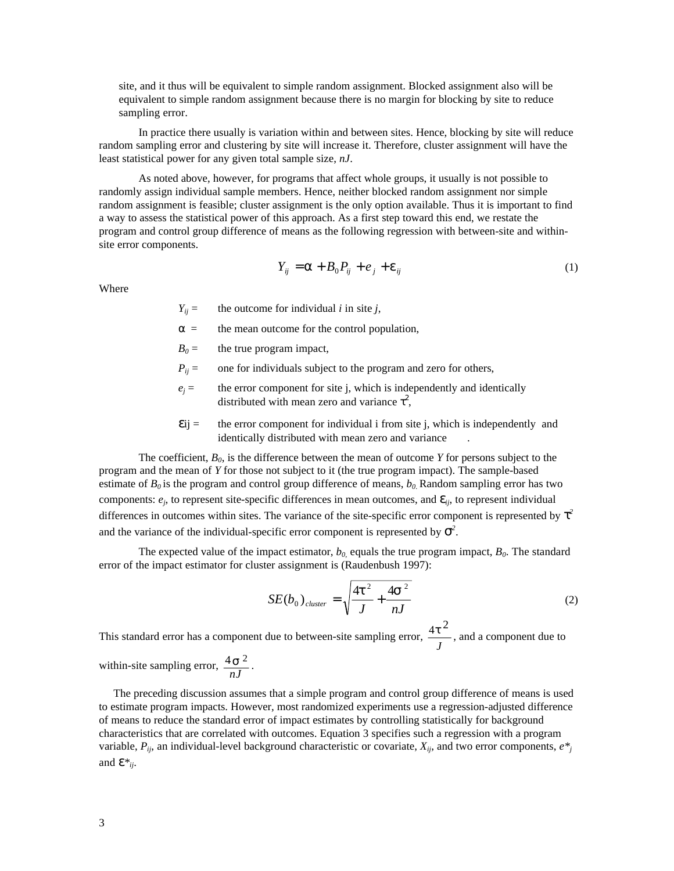site, and it thus will be equivalent to simple random assignment. Blocked assignment also will be equivalent to simple random assignment because there is no margin for blocking by site to reduce sampling error.

In practice there usually is variation within and between sites. Hence, blocking by site will reduce random sampling error and clustering by site will increase it. Therefore*,* cluster assignment will have the least statistical power for any given total sample size, *nJ*.

As noted above, however, for programs that affect whole groups, it usually is not possible to randomly assign individual sample members. Hence, neither blocked random assignment nor simple random assignment is feasible; cluster assignment is the only option available. Thus it is important to find a way to assess the statistical power of this approach. As a first step toward this end, we restate the program and control group difference of means as the following regression with between-site and withinsite error components.

$$
Y_{ij} = \mathbf{a} + B_0 P_{ij} + e_j + \mathbf{e}_{ij}
$$
 (1)

Where

- $Y_{ii}$  = the outcome for individual *i* in site *j*,
- $\alpha$  = the mean outcome for the control population,
- $B_0 =$  the true program impact,
- $P_{ij}$  = one for individuals subject to the program and zero for others,
- $e_i$  = the error component for site *j*, which is independently and identically distributed with mean zero and variance  $\tau^2$ ,
- $\epsilon i$  = the error component for individual i from site j, which is independently and identically distributed with mean zero and variance

The coefficient, *B0*, is the difference between the mean of outcome *Y* for persons subject to the program and the mean of *Y* for those not subject to it (the true program impact). The sample-based estimate of  $B_0$  is the program and control group difference of means,  $b_0$  Random sampling error has two components:  $e_j$ , to represent site-specific differences in mean outcomes, and  $e_{ij}$ , to represent individual differences in outcomes within sites. The variance of the site-specific error component is represented by  $t^2$ and the variance of the individual-specific error component is represented by  $s^2$ .

The expected value of the impact estimator,  $b_0$  equals the true program impact,  $B_0$ . The standard error of the impact estimator for cluster assignment is (Raudenbush 1997):

$$
SE(b_0)_{cluster} = \sqrt{\frac{4t^2}{J} + \frac{4s^2}{nJ}}
$$
 (2)

This standard error has a component due to between-site sampling error,  $4t^2$ *J* , and a component due to

within-site sampling error,  $\frac{4s^2}{\sigma}$  $\frac{S}{nJ}$ .

The preceding discussion assumes that a simple program and control group difference of means is used to estimate program impacts. However, most randomized experiments use a regression-adjusted difference of means to reduce the standard error of impact estimates by controlling statistically for background characteristics that are correlated with outcomes. Equation 3 specifies such a regression with a program variable,  $P_{ij}$ , an individual-level background characteristic or covariate,  $X_{ij}$ , and two error components,  $e^*$ and *e\*ij*.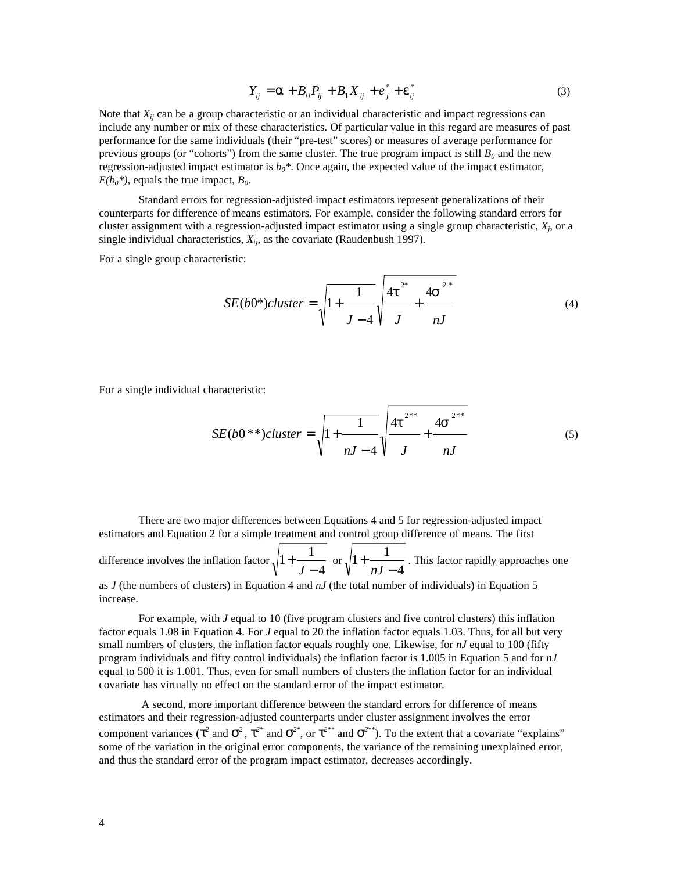$$
Y_{ij} = \mathbf{a} + B_0 P_{ij} + B_1 X_{ij} + e_j^* + \mathbf{e}_{ij}^*
$$
 (3)

Note that  $X_{ij}$  can be a group characteristic or an individual characteristic and impact regressions can include any number or mix of these characteristics. Of particular value in this regard are measures of past performance for the same individuals (their "pre-test" scores) or measures of average performance for previous groups (or "cohorts") from the same cluster. The true program impact is still  $B_0$  and the new regression-adjusted impact estimator is *b0\**. Once again, the expected value of the impact estimator,  $E(b_0^*)$ , equals the true impact,  $B_0$ .

Standard errors for regression-adjusted impact estimators represent generalizations of their counterparts for difference of means estimators. For example, consider the following standard errors for cluster assignment with a regression-adjusted impact estimator using a single group characteristic, *X<sup>j</sup>* , or a single individual characteristics,  $X_{ij}$ , as the covariate (Raudenbush 1997).

For a single group characteristic:

$$
SE(b0^*)cluster = \sqrt{1 + \frac{1}{J - 4}} \sqrt{\frac{4t^{2^*}}{J} + \frac{4s^{2^*}}{nJ}}
$$
(4)

For a single individual characteristic:

$$
SE(b0^{**})cluster = \sqrt{1 + \frac{1}{nJ - 4}} \sqrt{\frac{4t^{2^{**}}}{J} + \frac{4s^{2^{**}}}{nJ}}
$$
(5)

There are two major differences between Equations 4 and 5 for regression-adjusted impact estimators and Equation 2 for a simple treatment and control group difference of means. The first difference involves the inflation factor  $\sqrt{1 + \frac{1}{J - 4}}$  $1 + \frac{1}{1}$ − +  $\int \frac{1}{J-4}$  or  $\sqrt{1+\frac{1}{nJ-4}}$  $1 + \frac{1}{\cdot}$ − +  $\frac{1}{nJ-4}$ . This factor rapidly approaches one as *J* (the numbers of clusters) in Equation 4 and *nJ* (the total number of individuals) in Equation 5 increase.

For example, with *J* equal to 10 (five program clusters and five control clusters) this inflation factor equals 1.08 in Equation 4. For *J* equal to 20 the inflation factor equals 1.03. Thus, for all but very small numbers of clusters, the inflation factor equals roughly one. Likewise, for *nJ* equal to 100 (fifty program individuals and fifty control individuals) the inflation factor is 1.005 in Equation 5 and for *nJ* equal to 500 it is 1.001. Thus, even for small numbers of clusters the inflation factor for an individual covariate has virtually no effect on the standard error of the impact estimator.

 A second, more important difference between the standard errors for difference of means estimators and their regression-adjusted counterparts under cluster assignment involves the error component variances ( $t^2$  and  $s^2$ ,  $t^{2^*}$  and  $s^{2^*}$ , or  $t^{2^{**}}$  and  $s^{2^{**}}$ ). To the extent that a covariate "explains" some of the variation in the original error components, the variance of the remaining unexplained error, and thus the standard error of the program impact estimator, decreases accordingly.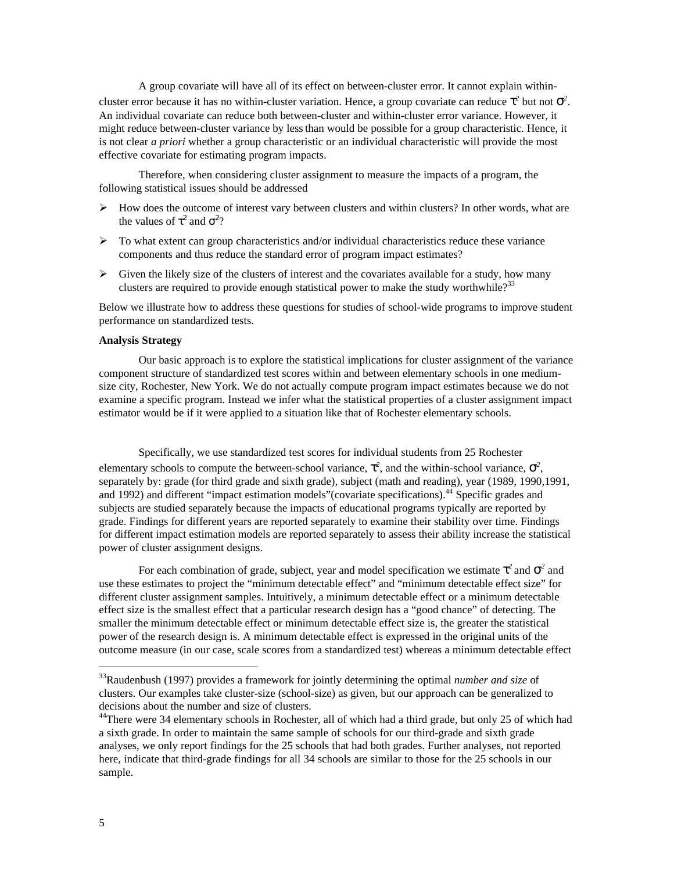A group covariate will have all of its effect on between-cluster error. It cannot explain withincluster error because it has no within-cluster variation. Hence, a group covariate can reduce  $t^2$  but not  $s^2$ . An individual covariate can reduce both between-cluster and within-cluster error variance. However, it might reduce between-cluster variance by lessthan would be possible for a group characteristic. Hence, it is not clear *a priori* whether a group characteristic or an individual characteristic will provide the most effective covariate for estimating program impacts.

Therefore, when considering cluster assignment to measure the impacts of a program, the following statistical issues should be addressed

- $\triangleright$  How does the outcome of interest vary between clusters and within clusters? In other words, what are the values of  $\tau^2$  and  $\sigma^2$ ?
- $\triangleright$  To what extent can group characteristics and/or individual characteristics reduce these variance components and thus reduce the standard error of program impact estimates?
- $\triangleright$  Given the likely size of the clusters of interest and the covariates available for a study, how many clusters are required to provide enough statistical power to make the study worthwhile?<sup>33</sup>

Below we illustrate how to address these questions for studies of school-wide programs to improve student performance on standardized tests.

## **Analysis Strategy**

Our basic approach is to explore the statistical implications for cluster assignment of the variance component structure of standardized test scores within and between elementary schools in one mediumsize city, Rochester, New York. We do not actually compute program impact estimates because we do not examine a specific program. Instead we infer what the statistical properties of a cluster assignment impact estimator would be if it were applied to a situation like that of Rochester elementary schools.

Specifically, we use standardized test scores for individual students from 25 Rochester elementary schools to compute the between-school variance,  $t^2$ , and the within-school variance,  $s^2$ , separately by: grade (for third grade and sixth grade), subject (math and reading), year (1989, 1990,1991, and 1992) and different "impact estimation models" (covariate specifications).<sup>44</sup> Specific grades and subjects are studied separately because the impacts of educational programs typically are reported by grade. Findings for different years are reported separately to examine their stability over time. Findings for different impact estimation models are reported separately to assess their ability increase the statistical power of cluster assignment designs.

For each combination of grade, subject, year and model specification we estimate  $t^2$  and  $s^2$  and use these estimates to project the "minimum detectable effect" and "minimum detectable effect size" for different cluster assignment samples. Intuitively, a minimum detectable effect or a minimum detectable effect size is the smallest effect that a particular research design has a "good chance" of detecting. The smaller the minimum detectable effect or minimum detectable effect size is, the greater the statistical power of the research design is. A minimum detectable effect is expressed in the original units of the outcome measure (in our case, scale scores from a standardized test) whereas a minimum detectable effect

<u>.</u>

<sup>33</sup>Raudenbush (1997) provides a framework for jointly determining the optimal *number and size* of clusters. Our examples take cluster-size (school-size) as given, but our approach can be generalized to decisions about the number and size of clusters.

<sup>&</sup>lt;sup>44</sup>There were 34 elementary schools in Rochester, all of which had a third grade, but only 25 of which had a sixth grade. In order to maintain the same sample of schools for our third-grade and sixth grade analyses, we only report findings for the 25 schools that had both grades. Further analyses, not reported here, indicate that third-grade findings for all 34 schools are similar to those for the 25 schools in our sample.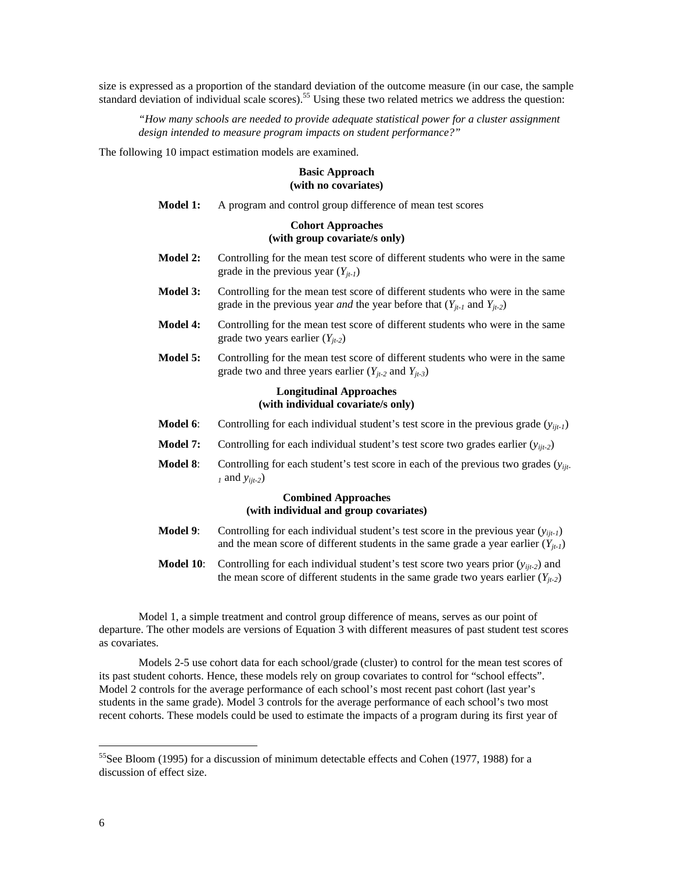size is expressed as a proportion of the standard deviation of the outcome measure (in our case, the sample standard deviation of individual scale scores).<sup>55</sup> Using these two related metrics we address the question:

*"How many schools are needed to provide adequate statistical power for a cluster assignment design intended to measure program impacts on student performance?"*

The following 10 impact estimation models are examined.

#### **Basic Approach (with no covariates)**

**Model 1:** A program and control group difference of mean test scores

#### **Cohort Approaches (with group covariate/s only)**

- **Model 2:** Controlling for the mean test score of different students who were in the same grade in the previous year  $(Y_{jt-1})$
- **Model 3:** Controlling for the mean test score of different students who were in the same grade in the previous year *and* the year before that  $(Y_{jt-1}$  and  $Y_{jt-2}$ )
- **Model 4:** Controlling for the mean test score of different students who were in the same grade two years earlier (*Yjt-2*)
- **Model 5:** Controlling for the mean test score of different students who were in the same grade two and three years earlier  $(Y_{i^{t-2}})$  and  $Y_{i^{t-3}}$

#### **Longitudinal Approaches (with individual covariate/s only)**

- **Model 6:** Controlling for each individual student's test score in the previous grade  $(y_{ijt-1})$
- **Model 7:** Controlling for each individual student's test score two grades earlier (*yijt-2*)
- **Model 8**: Controlling for each student's test score in each of the previous two grades (*yijt-<sup>1</sup>* and *yijt-2*)

## **Combined Approaches (with individual and group covariates)**

- **Model 9:** Controlling for each individual student's test score in the previous year  $(y_{ijt-1})$ and the mean score of different students in the same grade a year earlier  $(Y_{j+1})$
- **Model 10**: Controlling for each individual student's test score two years prior (*yijt-2*) and the mean score of different students in the same grade two years earlier  $(Y_{i-2})$

Model 1, a simple treatment and control group difference of means, serves as our point of departure. The other models are versions of Equation 3 with different measures of past student test scores as covariates.

Models 2-5 use cohort data for each school/grade (cluster) to control for the mean test scores of its past student cohorts. Hence, these models rely on group covariates to control for "school effects". Model 2 controls for the average performance of each school's most recent past cohort (last year's students in the same grade). Model 3 controls for the average performance of each school's two most recent cohorts. These models could be used to estimate the impacts of a program during its first year of

<sup>&</sup>lt;sup>55</sup>See Bloom (1995) for a discussion of minimum detectable effects and Cohen (1977, 1988) for a discussion of effect size.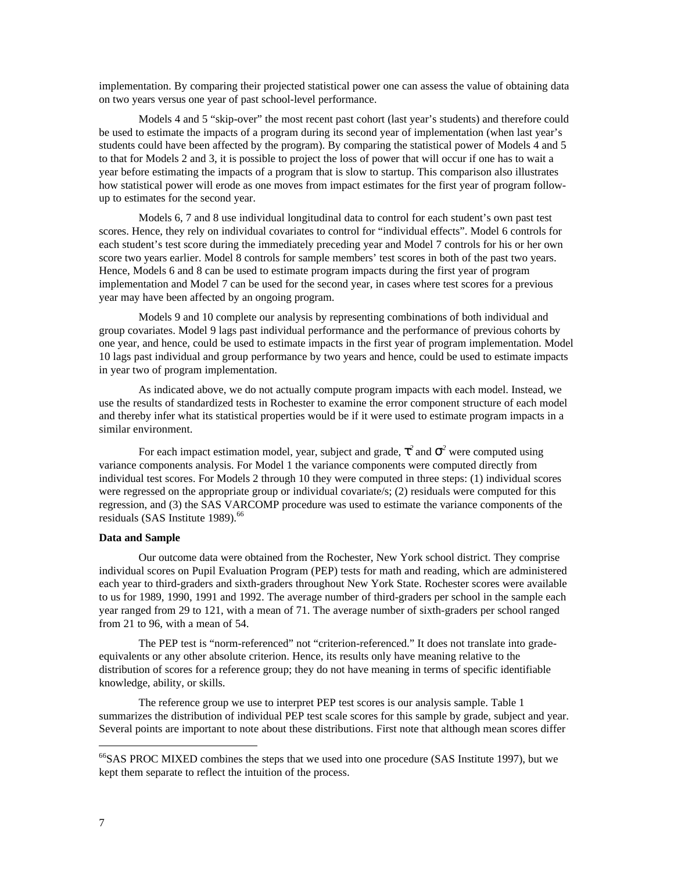implementation. By comparing their projected statistical power one can assess the value of obtaining data on two years versus one year of past school-level performance.

Models 4 and 5 "skip-over" the most recent past cohort (last year's students) and therefore could be used to estimate the impacts of a program during its second year of implementation (when last year's students could have been affected by the program). By comparing the statistical power of Models 4 and 5 to that for Models 2 and 3, it is possible to project the loss of power that will occur if one has to wait a year before estimating the impacts of a program that is slow to startup. This comparison also illustrates how statistical power will erode as one moves from impact estimates for the first year of program followup to estimates for the second year.

Models 6, 7 and 8 use individual longitudinal data to control for each student's own past test scores. Hence, they rely on individual covariates to control for "individual effects". Model 6 controls for each student's test score during the immediately preceding year and Model 7 controls for his or her own score two years earlier. Model 8 controls for sample members' test scores in both of the past two years. Hence, Models 6 and 8 can be used to estimate program impacts during the first year of program implementation and Model 7 can be used for the second year, in cases where test scores for a previous year may have been affected by an ongoing program.

Models 9 and 10 complete our analysis by representing combinations of both individual and group covariates. Model 9 lags past individual performance and the performance of previous cohorts by one year, and hence, could be used to estimate impacts in the first year of program implementation. Model 10 lags past individual and group performance by two years and hence, could be used to estimate impacts in year two of program implementation.

As indicated above, we do not actually compute program impacts with each model. Instead, we use the results of standardized tests in Rochester to examine the error component structure of each model and thereby infer what its statistical properties would be if it were used to estimate program impacts in a similar environment.

For each impact estimation model, year, subject and grade,  $t^2$  and  $s^2$  were computed using variance components analysis. For Model 1 the variance components were computed directly from individual test scores. For Models 2 through 10 they were computed in three steps: (1) individual scores were regressed on the appropriate group or individual covariate/s; (2) residuals were computed for this regression, and (3) the SAS VARCOMP procedure was used to estimate the variance components of the residuals (SAS Institute  $1989$ ).<sup>66</sup>

#### **Data and Sample**

Our outcome data were obtained from the Rochester, New York school district. They comprise individual scores on Pupil Evaluation Program (PEP) tests for math and reading, which are administered each year to third-graders and sixth-graders throughout New York State. Rochester scores were available to us for 1989, 1990, 1991 and 1992. The average number of third-graders per school in the sample each year ranged from 29 to 121, with a mean of 71. The average number of sixth-graders per school ranged from 21 to 96, with a mean of 54.

The PEP test is "norm-referenced" not "criterion-referenced." It does not translate into gradeequivalents or any other absolute criterion. Hence, its results only have meaning relative to the distribution of scores for a reference group; they do not have meaning in terms of specific identifiable knowledge, ability, or skills.

The reference group we use to interpret PEP test scores is our analysis sample. Table 1 summarizes the distribution of individual PEP test scale scores for this sample by grade, subject and year. Several points are important to note about these distributions. First note that although mean scores differ

<sup>&</sup>lt;sup>66</sup>SAS PROC MIXED combines the steps that we used into one procedure (SAS Institute 1997), but we kept them separate to reflect the intuition of the process.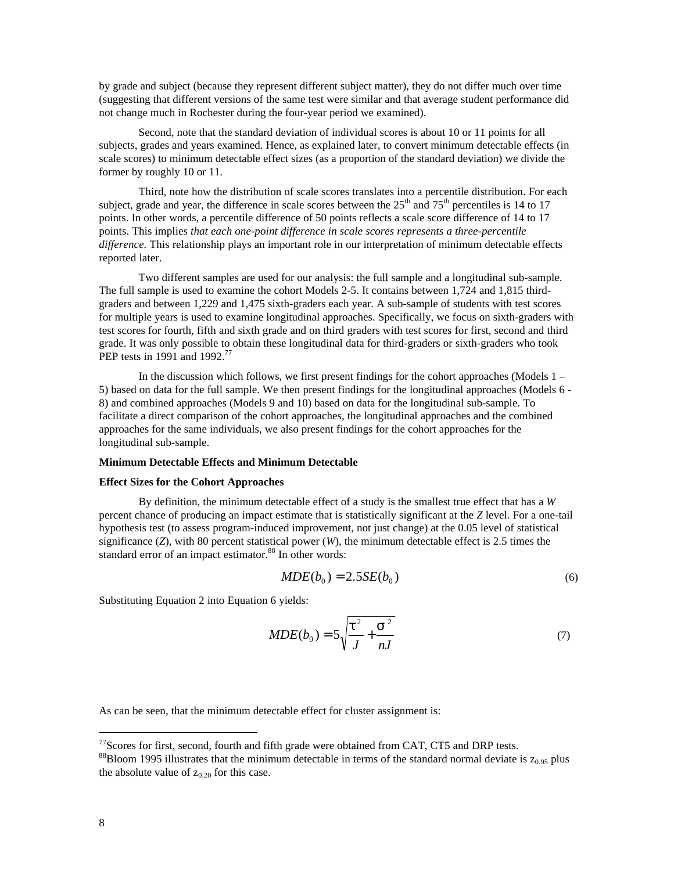by grade and subject (because they represent different subject matter), they do not differ much over time (suggesting that different versions of the same test were similar and that average student performance did not change much in Rochester during the four-year period we examined).

Second, note that the standard deviation of individual scores is about 10 or 11 points for all subjects, grades and years examined. Hence, as explained later, to convert minimum detectable effects (in scale scores) to minimum detectable effect sizes (as a proportion of the standard deviation) we divide the former by roughly 10 or 11.

Third, note how the distribution of scale scores translates into a percentile distribution. For each subject, grade and year, the difference in scale scores between the  $25<sup>th</sup>$  and  $75<sup>th</sup>$  percentiles is 14 to 17 points. In other words, a percentile difference of 50 points reflects a scale score difference of 14 to 17 points. This implies *that each one-point difference in scale scores represents a three-percentile difference.* This relationship plays an important role in our interpretation of minimum detectable effects reported later.

Two different samples are used for our analysis: the full sample and a longitudinal sub-sample. The full sample is used to examine the cohort Models 2-5. It contains between 1,724 and 1,815 thirdgraders and between 1,229 and 1,475 sixth-graders each year. A sub-sample of students with test scores for multiple years is used to examine longitudinal approaches. Specifically, we focus on sixth-graders with test scores for fourth, fifth and sixth grade and on third graders with test scores for first, second and third grade. It was only possible to obtain these longitudinal data for third-graders or sixth-graders who took PEP tests in 1991 and 1992.<sup>77</sup>

In the discussion which follows, we first present findings for the cohort approaches (Models  $1 -$ 5) based on data for the full sample. We then present findings for the longitudinal approaches (Models 6 - 8) and combined approaches (Models 9 and 10) based on data for the longitudinal sub-sample. To facilitate a direct comparison of the cohort approaches, the longitudinal approaches and the combined approaches for the same individuals, we also present findings for the cohort approaches for the longitudinal sub-sample.

## **Minimum Detectable Effects and Minimum Detectable**

#### **Effect Sizes for the Cohort Approaches**

By definition, the minimum detectable effect of a study is the smallest true effect that has a *W* percent chance of producing an impact estimate that is statistically significant at the *Z* level. For a one-tail hypothesis test (to assess program-induced improvement, not just change) at the 0.05 level of statistical significance  $(Z)$ , with 80 percent statistical power  $(W)$ , the minimum detectable effect is 2.5 times the standard error of an impact estimator.<sup>88</sup> In other words:

$$
MDE(b_0) = 2.5SE(b_0)
$$
\n<sup>(6)</sup>

Substituting Equation 2 into Equation 6 yields:

$$
MDE(b_0) = 5\sqrt{\frac{t^2}{J} + \frac{s^2}{nJ}}
$$
 (7)

As can be seen, that the minimum detectable effect for cluster assignment is:

 $^{77}$ Scores for first, second, fourth and fifth grade were obtained from CAT, CT5 and DRP tests.

 $88$ Bloom 1995 illustrates that the minimum detectable in terms of the standard normal deviate is  $z_{0.95}$  plus the absolute value of  $z_{0.20}$  for this case.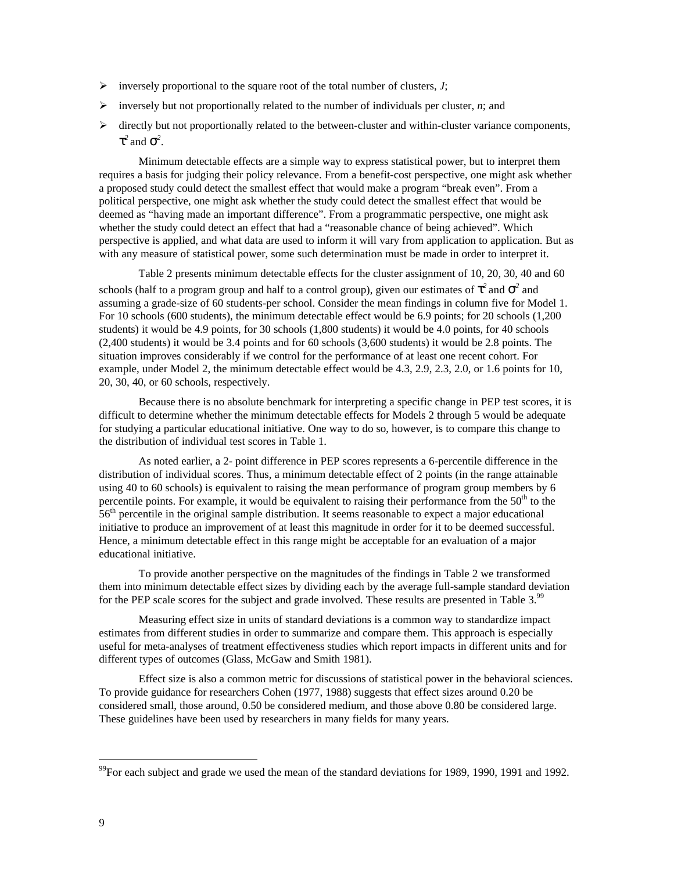- $\triangleright$  inversely proportional to the square root of the total number of clusters, *J*;
- $\triangleright$  inversely but not proportionally related to the number of individuals per cluster, *n*; and
- $\triangleright$  directly but not proportionally related to the between-cluster and within-cluster variance components,  $t^2$  and  $s^2$ .

Minimum detectable effects are a simple way to express statistical power, but to interpret them requires a basis for judging their policy relevance. From a benefit-cost perspective, one might ask whether a proposed study could detect the smallest effect that would make a program "break even". From a political perspective, one might ask whether the study could detect the smallest effect that would be deemed as "having made an important difference". From a programmatic perspective, one might ask whether the study could detect an effect that had a "reasonable chance of being achieved". Which perspective is applied, and what data are used to inform it will vary from application to application. But as with any measure of statistical power, some such determination must be made in order to interpret it.

Table 2 presents minimum detectable effects for the cluster assignment of 10, 20, 30, 40 and 60 schools (half to a program group and half to a control group), given our estimates of  $\mathbf{t}^2$  and  $\mathbf{s}^2$  and assuming a grade-size of 60 students-per school. Consider the mean findings in column five for Model 1. For 10 schools (600 students), the minimum detectable effect would be 6.9 points; for 20 schools (1,200 students) it would be 4.9 points, for 30 schools (1,800 students) it would be 4.0 points, for 40 schools (2,400 students) it would be 3.4 points and for 60 schools (3,600 students) it would be 2.8 points. The situation improves considerably if we control for the performance of at least one recent cohort. For example, under Model 2, the minimum detectable effect would be 4.3, 2.9, 2.3, 2.0, or 1.6 points for 10, 20, 30, 40, or 60 schools, respectively.

Because there is no absolute benchmark for interpreting a specific change in PEP test scores, it is difficult to determine whether the minimum detectable effects for Models 2 through 5 would be adequate for studying a particular educational initiative. One way to do so, however, is to compare this change to the distribution of individual test scores in Table 1.

As noted earlier, a 2- point difference in PEP scores represents a 6-percentile difference in the distribution of individual scores. Thus, a minimum detectable effect of 2 points (in the range attainable using 40 to 60 schools) is equivalent to raising the mean performance of program group members by 6 percentile points. For example, it would be equivalent to raising their performance from the  $50<sup>th</sup>$  to the 56<sup>th</sup> percentile in the original sample distribution. It seems reasonable to expect a major educational initiative to produce an improvement of at least this magnitude in order for it to be deemed successful. Hence, a minimum detectable effect in this range might be acceptable for an evaluation of a major educational initiative.

To provide another perspective on the magnitudes of the findings in Table 2 we transformed them into minimum detectable effect sizes by dividing each by the average full-sample standard deviation for the PEP scale scores for the subject and grade involved. These results are presented in Table  $3.99$ 

Measuring effect size in units of standard deviations is a common way to standardize impact estimates from different studies in order to summarize and compare them. This approach is especially useful for meta-analyses of treatment effectiveness studies which report impacts in different units and for different types of outcomes (Glass, McGaw and Smith 1981).

Effect size is also a common metric for discussions of statistical power in the behavioral sciences. To provide guidance for researchers Cohen (1977, 1988) suggests that effect sizes around 0.20 be considered small, those around, 0.50 be considered medium, and those above 0.80 be considered large. These guidelines have been used by researchers in many fields for many years.

<u>.</u>

<sup>&</sup>lt;sup>99</sup> For each subject and grade we used the mean of the standard deviations for 1989, 1990, 1991 and 1992.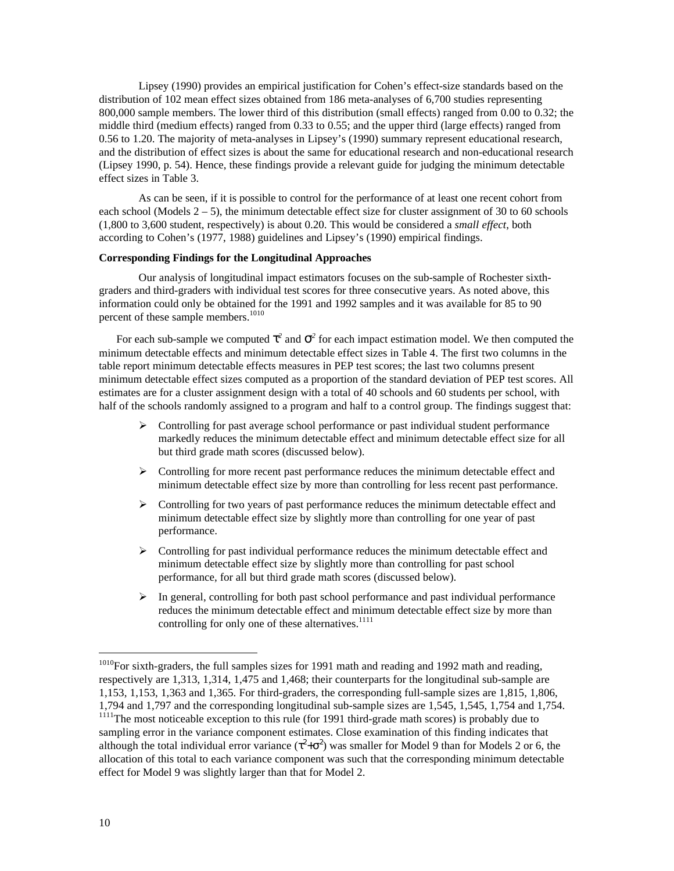Lipsey (1990) provides an empirical justification for Cohen's effect-size standards based on the distribution of 102 mean effect sizes obtained from 186 meta-analyses of 6,700 studies representing 800,000 sample members. The lower third of this distribution (small effects) ranged from 0.00 to 0.32; the middle third (medium effects) ranged from 0.33 to 0.55; and the upper third (large effects) ranged from 0.56 to 1.20. The majority of meta-analyses in Lipsey's (1990) summary represent educational research, and the distribution of effect sizes is about the same for educational research and non-educational research (Lipsey 1990, p. 54). Hence, these findings provide a relevant guide for judging the minimum detectable effect sizes in Table 3.

As can be seen, if it is possible to control for the performance of at least one recent cohort from each school (Models  $2 - 5$ ), the minimum detectable effect size for cluster assignment of 30 to 60 schools (1,800 to 3,600 student, respectively) is about 0.20. This would be considered a *small effect*, both according to Cohen's (1977, 1988) guidelines and Lipsey's (1990) empirical findings.

#### **Corresponding Findings for the Longitudinal Approaches**

Our analysis of longitudinal impact estimators focuses on the sub-sample of Rochester sixthgraders and third-graders with individual test scores for three consecutive years. As noted above, this information could only be obtained for the 1991 and 1992 samples and it was available for 85 to 90 percent of these sample members.<sup>1010</sup>

For each sub-sample we computed  $t^2$  and  $s^2$  for each impact estimation model. We then computed the minimum detectable effects and minimum detectable effect sizes in Table 4. The first two columns in the table report minimum detectable effects measures in PEP test scores; the last two columns present minimum detectable effect sizes computed as a proportion of the standard deviation of PEP test scores. All estimates are for a cluster assignment design with a total of 40 schools and 60 students per school, with half of the schools randomly assigned to a program and half to a control group. The findings suggest that:

- $\triangleright$  Controlling for past average school performance or past individual student performance markedly reduces the minimum detectable effect and minimum detectable effect size for all but third grade math scores (discussed below).
- $\triangleright$  Controlling for more recent past performance reduces the minimum detectable effect and minimum detectable effect size by more than controlling for less recent past performance.
- $\triangleright$  Controlling for two years of past performance reduces the minimum detectable effect and minimum detectable effect size by slightly more than controlling for one year of past performance.
- $\triangleright$  Controlling for past individual performance reduces the minimum detectable effect and minimum detectable effect size by slightly more than controlling for past school performance, for all but third grade math scores (discussed below).
- $\triangleright$  In general, controlling for both past school performance and past individual performance reduces the minimum detectable effect and minimum detectable effect size by more than controlling for only one of these alternatives. $1111$

-

<sup>&</sup>lt;sup>1010</sup>For sixth-graders, the full samples sizes for 1991 math and reading and 1992 math and reading, respectively are 1,313, 1,314, 1,475 and 1,468; their counterparts for the longitudinal sub-sample are 1,153, 1,153, 1,363 and 1,365. For third-graders, the corresponding full-sample sizes are 1,815, 1,806, 1,794 and 1,797 and the corresponding longitudinal sub-sample sizes are 1,545, 1,545, 1,754 and 1,754.

<sup>&</sup>lt;sup>1111</sup>The most noticeable exception to this rule (for 1991 third-grade math scores) is probably due to sampling error in the variance component estimates. Close examination of this finding indicates that although the total individual error variance  $(\tau^2+\sigma^2)$  was smaller for Model 9 than for Models 2 or 6, the allocation of this total to each variance component was such that the corresponding minimum detectable effect for Model 9 was slightly larger than that for Model 2.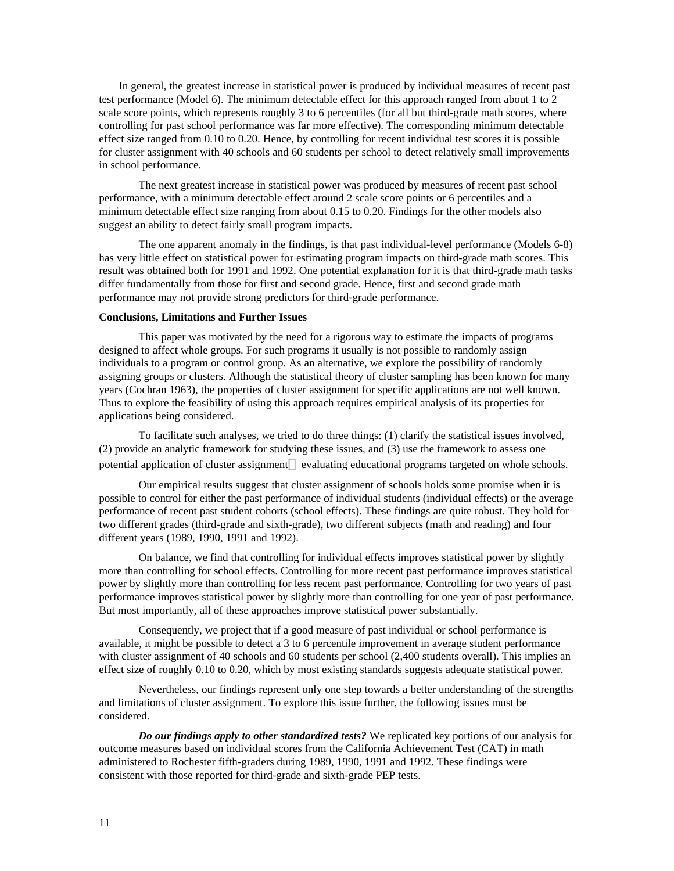In general, the greatest increase in statistical power is produced by individual measures of recent past test performance (Model 6). The minimum detectable effect for this approach ranged from about 1 to 2 scale score points, which represents roughly 3 to 6 percentiles (for all but third-grade math scores, where controlling for past school performance was far more effective). The corresponding minimum detectable effect size ranged from 0.10 to 0.20. Hence, by controlling for recent individual test scores it is possible for cluster assignment with 40 schools and 60 students per school to detect relatively small improvements in school performance.

The next greatest increase in statistical power was produced by measures of recent past school performance, with a minimum detectable effect around 2 scale score points or 6 percentiles and a minimum detectable effect size ranging from about 0.15 to 0.20. Findings for the other models also suggest an ability to detect fairly small program impacts.

The one apparent anomaly in the findings, is that past individual-level performance (Models 6-8) has very little effect on statistical power for estimating program impacts on third-grade math scores. This result was obtained both for 1991 and 1992. One potential explanation for it is that third-grade math tasks differ fundamentally from those for first and second grade. Hence, first and second grade math performance may not provide strong predictors for third-grade performance.

# **Conclusions, Limitations and Further Issues**

This paper was motivated by the need for a rigorous way to estimate the impacts of programs designed to affect whole groups. For such programs it usually is not possible to randomly assign individuals to a program or control group. As an alternative, we explore the possibility of randomly assigning groups or clusters. Although the statistical theory of cluster sampling has been known for many years (Cochran 1963), the properties of cluster assignment for specific applications are not well known. Thus to explore the feasibility of using this approach requires empirical analysis of its properties for applications being considered.

To facilitate such analyses, we tried to do three things: (1) clarify the statistical issues involved, (2) provide an analytic framework for studying these issues, and (3) use the framework to assess one potential application of cluster assignment—evaluating educational programs targeted on whole schools.

Our empirical results suggest that cluster assignment of schools holds some promise when it is possible to control for either the past performance of individual students (individual effects) or the average performance of recent past student cohorts (school effects). These findings are quite robust. They hold for two different grades (third-grade and sixth-grade), two different subjects (math and reading) and four different years (1989, 1990, 1991 and 1992).

On balance, we find that controlling for individual effects improves statistical power by slightly more than controlling for school effects. Controlling for more recent past performance improves statistical power by slightly more than controlling for less recent past performance. Controlling for two years of past performance improves statistical power by slightly more than controlling for one year of past performance. But most importantly, all of these approaches improve statistical power substantially.

Consequently, we project that if a good measure of past individual or school performance is available, it might be possible to detect a 3 to 6 percentile improvement in average student performance with cluster assignment of 40 schools and 60 students per school (2,400 students overall). This implies an effect size of roughly 0.10 to 0.20, which by most existing standards suggests adequate statistical power.

Nevertheless, our findings represent only one step towards a better understanding of the strengths and limitations of cluster assignment. To explore this issue further, the following issues must be considered.

*Do our findings apply to other standardized tests?* We replicated key portions of our analysis for outcome measures based on individual scores from the California Achievement Test (CAT) in math administered to Rochester fifth-graders during 1989, 1990, 1991 and 1992. These findings were consistent with those reported for third-grade and sixth-grade PEP tests.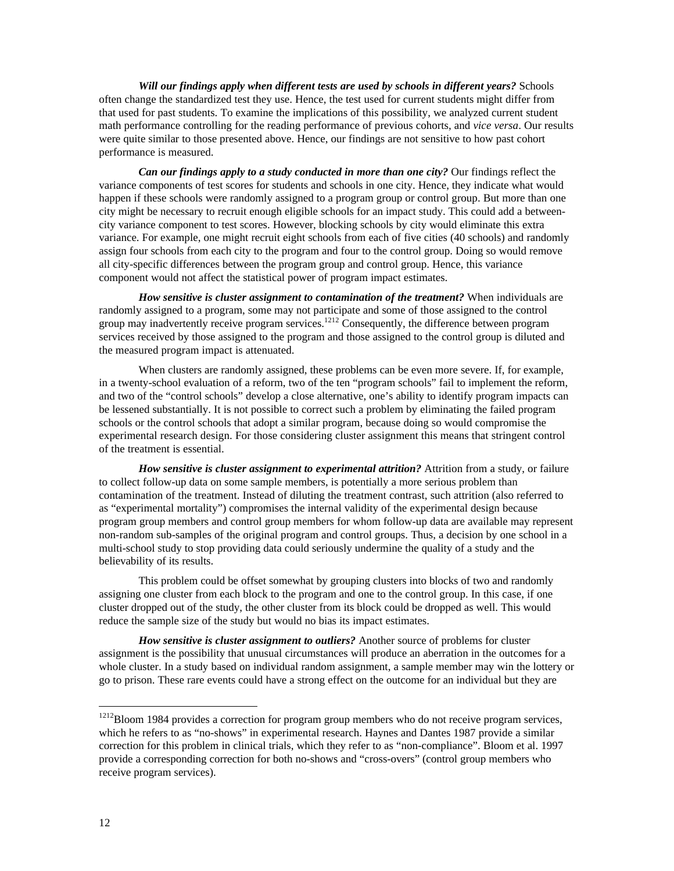*Will our findings apply when different tests are used by schools in different years?* Schools often change the standardized test they use. Hence, the test used for current students might differ from that used for past students. To examine the implications of this possibility, we analyzed current student math performance controlling for the reading performance of previous cohorts, and *vice versa*. Our results were quite similar to those presented above. Hence, our findings are not sensitive to how past cohort performance is measured.

*Can our findings apply to a study conducted in more than one city?* Our findings reflect the variance components of test scores for students and schools in one city. Hence, they indicate what would happen if these schools were randomly assigned to a program group or control group. But more than one city might be necessary to recruit enough eligible schools for an impact study. This could add a betweencity variance component to test scores. However, blocking schools by city would eliminate this extra variance. For example, one might recruit eight schools from each of five cities (40 schools) and randomly assign four schools from each city to the program and four to the control group. Doing so would remove all city-specific differences between the program group and control group. Hence, this variance component would not affect the statistical power of program impact estimates.

*How sensitive is cluster assignment to contamination of the treatment?* When individuals are randomly assigned to a program, some may not participate and some of those assigned to the control group may inadvertently receive program services.<sup>1212</sup> Consequently, the difference between program services received by those assigned to the program and those assigned to the control group is diluted and the measured program impact is attenuated.

When clusters are randomly assigned, these problems can be even more severe. If, for example, in a twenty-school evaluation of a reform, two of the ten "program schools" fail to implement the reform, and two of the "control schools" develop a close alternative, one's ability to identify program impacts can be lessened substantially. It is not possible to correct such a problem by eliminating the failed program schools or the control schools that adopt a similar program, because doing so would compromise the experimental research design. For those considering cluster assignment this means that stringent control of the treatment is essential.

*How sensitive is cluster assignment to experimental attrition?* Attrition from a study, or failure to collect follow-up data on some sample members, is potentially a more serious problem than contamination of the treatment. Instead of diluting the treatment contrast, such attrition (also referred to as "experimental mortality") compromises the internal validity of the experimental design because program group members and control group members for whom follow-up data are available may represent non-random sub-samples of the original program and control groups. Thus, a decision by one school in a multi-school study to stop providing data could seriously undermine the quality of a study and the believability of its results.

This problem could be offset somewhat by grouping clusters into blocks of two and randomly assigning one cluster from each block to the program and one to the control group. In this case, if one cluster dropped out of the study, the other cluster from its block could be dropped as well. This would reduce the sample size of the study but would no bias its impact estimates.

*How sensitive is cluster assignment to outliers?* Another source of problems for cluster assignment is the possibility that unusual circumstances will produce an aberration in the outcomes for a whole cluster. In a study based on individual random assignment, a sample member may win the lottery or go to prison. These rare events could have a strong effect on the outcome for an individual but they are

<sup>&</sup>lt;sup>1212</sup>Bloom 1984 provides a correction for program group members who do not receive program services, which he refers to as "no-shows" in experimental research. Haynes and Dantes 1987 provide a similar correction for this problem in clinical trials, which they refer to as "non-compliance". Bloom et al. 1997 provide a corresponding correction for both no-shows and "cross-overs" (control group members who receive program services).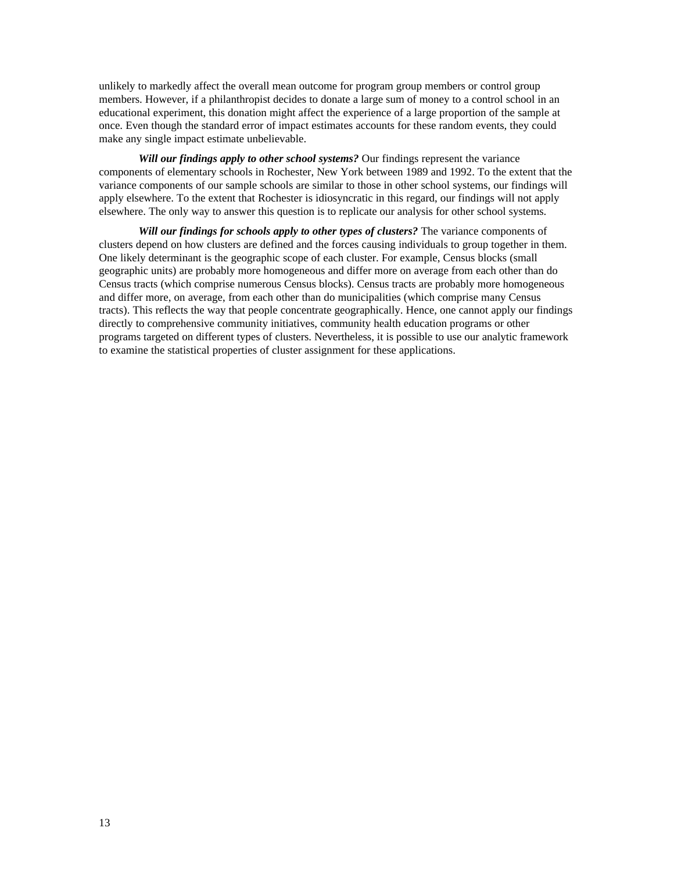unlikely to markedly affect the overall mean outcome for program group members or control group members. However, if a philanthropist decides to donate a large sum of money to a control school in an educational experiment, this donation might affect the experience of a large proportion of the sample at once. Even though the standard error of impact estimates accounts for these random events, they could make any single impact estimate unbelievable.

*Will our findings apply to other school systems?* Our findings represent the variance components of elementary schools in Rochester, New York between 1989 and 1992. To the extent that the variance components of our sample schools are similar to those in other school systems, our findings will apply elsewhere. To the extent that Rochester is idiosyncratic in this regard, our findings will not apply elsewhere. The only way to answer this question is to replicate our analysis for other school systems.

*Will our findings for schools apply to other types of clusters?* The variance components of clusters depend on how clusters are defined and the forces causing individuals to group together in them. One likely determinant is the geographic scope of each cluster. For example, Census blocks (small geographic units) are probably more homogeneous and differ more on average from each other than do Census tracts (which comprise numerous Census blocks). Census tracts are probably more homogeneous and differ more, on average, from each other than do municipalities (which comprise many Census tracts). This reflects the way that people concentrate geographically. Hence, one cannot apply our findings directly to comprehensive community initiatives, community health education programs or other programs targeted on different types of clusters. Nevertheless, it is possible to use our analytic framework to examine the statistical properties of cluster assignment for these applications.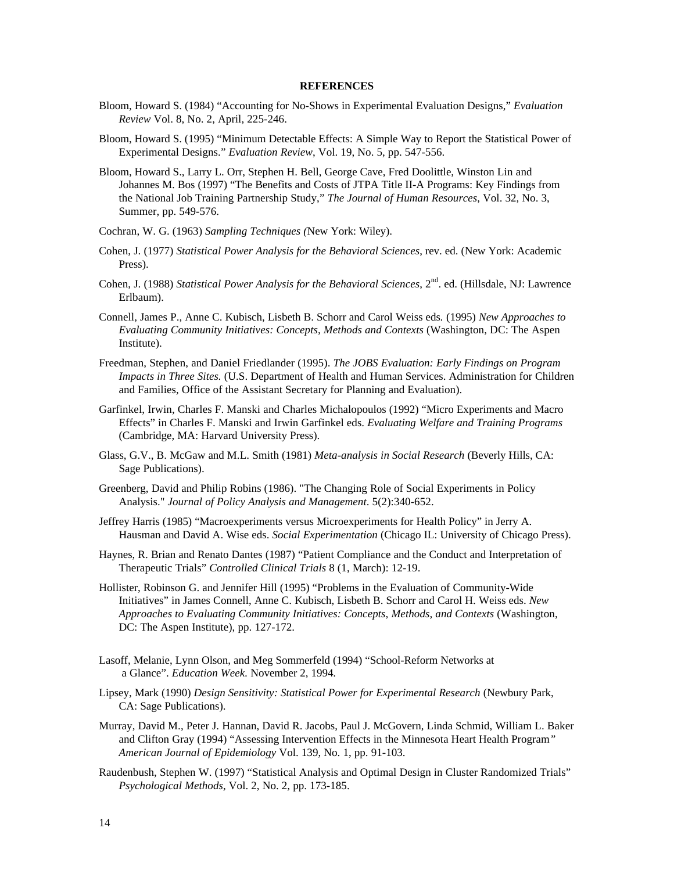#### **REFERENCES**

- Bloom, Howard S. (1984) "Accounting for No-Shows in Experimental Evaluation Designs," *Evaluation Review* Vol. 8, No. 2, April, 225-246.
- Bloom, Howard S. (1995) "Minimum Detectable Effects: A Simple Way to Report the Statistical Power of Experimental Designs." *Evaluation Review*, Vol. 19, No. 5, pp. 547-556.
- Bloom, Howard S., Larry L. Orr, Stephen H. Bell, George Cave, Fred Doolittle, Winston Lin and Johannes M. Bos (1997) "The Benefits and Costs of JTPA Title II-A Programs: Key Findings from the National Job Training Partnership Study," *The Journal of Human Resources*, Vol. 32, No. 3, Summer, pp. 549-576.
- Cochran, W. G. (1963) *Sampling Techniques (*New York: Wiley).
- Cohen, J. (1977) *Statistical Power Analysis for the Behavioral Sciences*, rev. ed. (New York: Academic Press).
- Cohen, J. (1988) *Statistical Power Analysis for the Behavioral Sciences*, 2<sup>nd</sup>. ed. (Hillsdale, NJ: Lawrence Erlbaum).
- Connell, James P., Anne C. Kubisch, Lisbeth B. Schorr and Carol Weiss eds*.* (1995) *New Approaches to Evaluating Community Initiatives: Concepts, Methods and Contexts* (Washington, DC: The Aspen Institute).
- Freedman, Stephen, and Daniel Friedlander (1995). *The JOBS Evaluation: Early Findings on Program Impacts in Three Sites.* (U.S. Department of Health and Human Services. Administration for Children and Families, Office of the Assistant Secretary for Planning and Evaluation).
- Garfinkel, Irwin, Charles F. Manski and Charles Michalopoulos (1992) "Micro Experiments and Macro Effects" in Charles F. Manski and Irwin Garfinkel eds. *Evaluating Welfare and Training Programs* (Cambridge, MA: Harvard University Press).
- Glass, G.V., B. McGaw and M.L. Smith (1981) *Meta-analysis in Social Research* (Beverly Hills, CA: Sage Publications).
- Greenberg, David and Philip Robins (1986). "The Changing Role of Social Experiments in Policy Analysis." *Journal of Policy Analysis and Management*. 5(2):340-652.
- Jeffrey Harris (1985) "Macroexperiments versus Microexperiments for Health Policy" in Jerry A. Hausman and David A. Wise eds. *Social Experimentation* (Chicago IL: University of Chicago Press).
- Haynes, R. Brian and Renato Dantes (1987) "Patient Compliance and the Conduct and Interpretation of Therapeutic Trials" *Controlled Clinical Trials* 8 (1, March): 12-19.
- Hollister, Robinson G. and Jennifer Hill (1995) "Problems in the Evaluation of Community-Wide Initiatives" in James Connell, Anne C. Kubisch, Lisbeth B. Schorr and Carol H. Weiss eds. *New Approaches to Evaluating Community Initiatives: Concepts, Methods, and Contexts* (Washington, DC: The Aspen Institute), pp. 127-172.
- Lasoff, Melanie, Lynn Olson, and Meg Sommerfeld (1994) "School-Reform Networks at a Glance". *Education Week.* November 2, 1994.
- Lipsey, Mark (1990) *Design Sensitivity: Statistical Power for Experimental Research* (Newbury Park, CA: Sage Publications).
- Murray, David M., Peter J. Hannan, David R. Jacobs, Paul J. McGovern, Linda Schmid, William L. Baker and Clifton Gray (1994) "Assessing Intervention Effects in the Minnesota Heart Health Program*" American Journal of Epidemiology* Vol. 139, No. 1, pp. 91-103.
- Raudenbush, Stephen W. (1997) "Statistical Analysis and Optimal Design in Cluster Randomized Trials" *Psychological Methods*, Vol. 2, No. 2, pp. 173-185.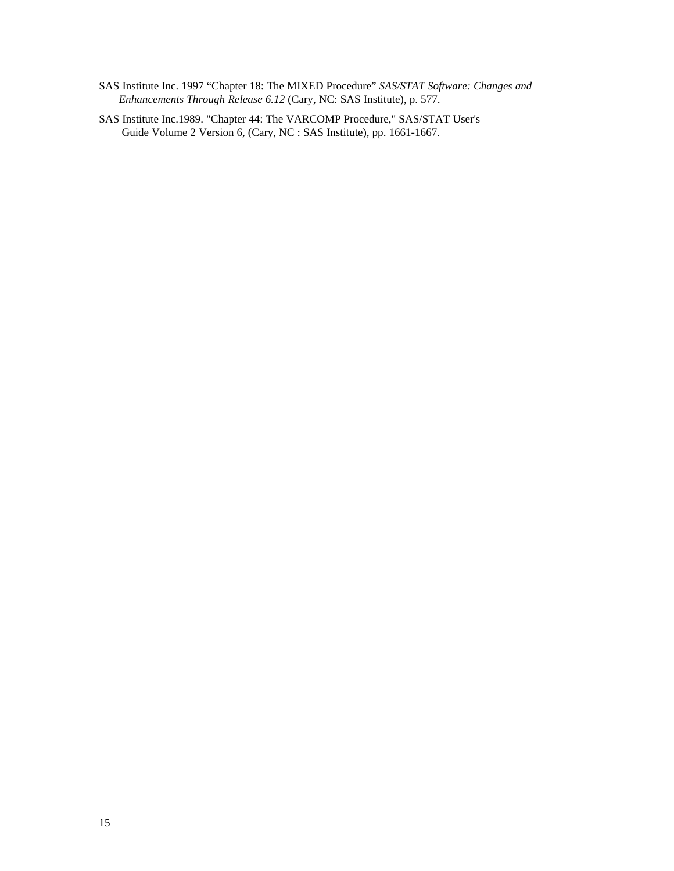- SAS Institute Inc. 1997 "Chapter 18: The MIXED Procedure" *SAS/STAT Software: Changes and Enhancements Through Release 6.12* (Cary, NC: SAS Institute), p. 577.
- SAS Institute Inc.1989. "Chapter 44: The VARCOMP Procedure," SAS/STAT User's Guide Volume 2 Version 6, (Cary, NC : SAS Institute), pp. 1661-1667.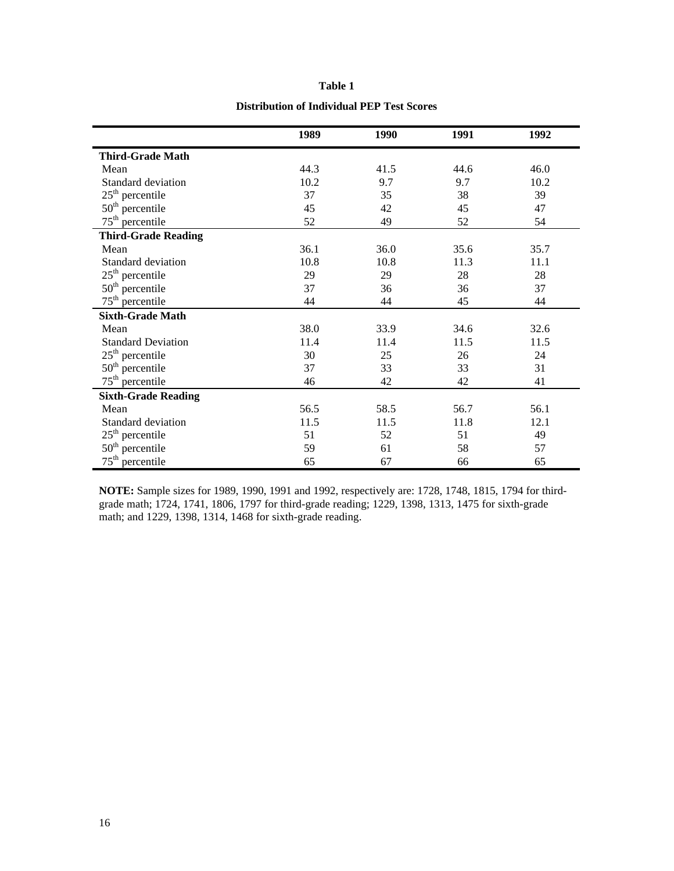|                            | 1989 | 1990 | 1991 | 1992 |
|----------------------------|------|------|------|------|
| <b>Third-Grade Math</b>    |      |      |      |      |
| Mean                       | 44.3 | 41.5 | 44.6 | 46.0 |
| Standard deviation         | 10.2 | 9.7  | 9.7  | 10.2 |
| $25th$ percentile          | 37   | 35   | 38   | 39   |
| $50th$ percentile          | 45   | 42   | 45   | 47   |
| $75th$ percentile          | 52   | 49   | 52   | 54   |
| <b>Third-Grade Reading</b> |      |      |      |      |
| Mean                       | 36.1 | 36.0 | 35.6 | 35.7 |
| Standard deviation         | 10.8 | 10.8 | 11.3 | 11.1 |
| $25th$ percentile          | 29   | 29   | 28   | 28   |
| $50th$ percentile          | 37   | 36   | 36   | 37   |
| $75th$ percentile          | 44   | 44   | 45   | 44   |
| <b>Sixth-Grade Math</b>    |      |      |      |      |
| Mean                       | 38.0 | 33.9 | 34.6 | 32.6 |
| <b>Standard Deviation</b>  | 11.4 | 11.4 | 11.5 | 11.5 |
| $25th$ percentile          | 30   | 25   | 26   | 24   |
| $50th$ percentile          | 37   | 33   | 33   | 31   |
| $75th$ percentile          | 46   | 42   | 42   | 41   |
| <b>Sixth-Grade Reading</b> |      |      |      |      |
| Mean                       | 56.5 | 58.5 | 56.7 | 56.1 |
| Standard deviation         | 11.5 | 11.5 | 11.8 | 12.1 |
| $25th$ percentile          | 51   | 52   | 51   | 49   |
| $50th$ percentile          | 59   | 61   | 58   | 57   |
| $75th$ percentile          | 65   | 67   | 66   | 65   |

# **Table 1 Distribution of Individual PEP Test Scores**

**NOTE:** Sample sizes for 1989, 1990, 1991 and 1992, respectively are: 1728, 1748, 1815, 1794 for thirdgrade math; 1724, 1741, 1806, 1797 for third-grade reading; 1229, 1398, 1313, 1475 for sixth-grade math; and 1229, 1398, 1314, 1468 for sixth-grade reading.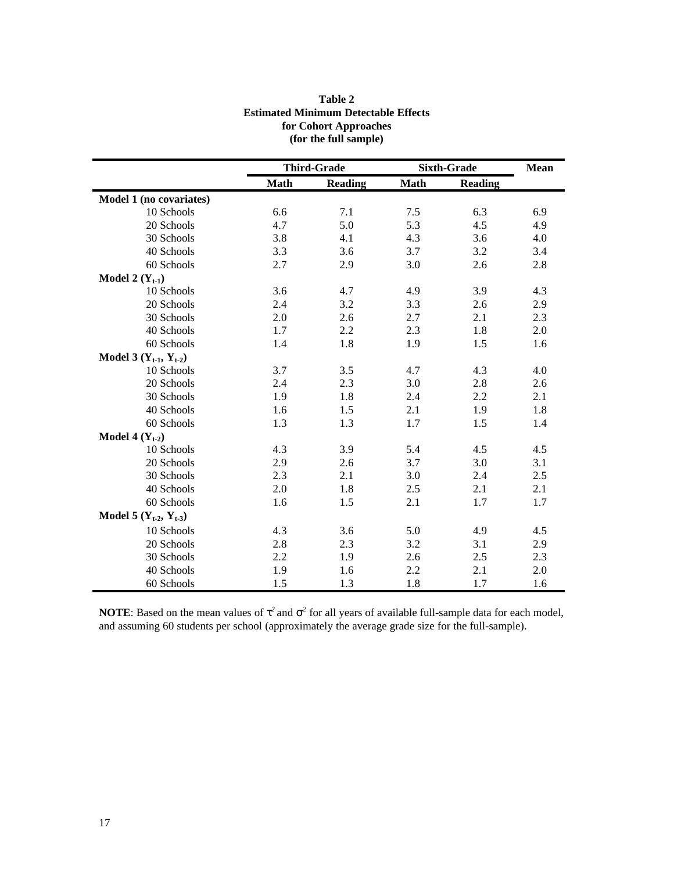|                              | <b>Third-Grade</b> |                | <b>Sixth-Grade</b> |         | Mean |
|------------------------------|--------------------|----------------|--------------------|---------|------|
|                              | <b>Math</b>        | <b>Reading</b> | <b>Math</b>        | Reading |      |
| Model 1 (no covariates)      |                    |                |                    |         |      |
| 10 Schools                   | 6.6                | 7.1            | 7.5                | 6.3     | 6.9  |
| 20 Schools                   | 4.7                | 5.0            | 5.3                | 4.5     | 4.9  |
| 30 Schools                   | 3.8                | 4.1            | 4.3                | 3.6     | 4.0  |
| 40 Schools                   | 3.3                | 3.6            | 3.7                | 3.2     | 3.4  |
| 60 Schools                   | 2.7                | 2.9            | 3.0                | 2.6     | 2.8  |
| Model 2 $(Y_{t-1})$          |                    |                |                    |         |      |
| 10 Schools                   | 3.6                | 4.7            | 4.9                | 3.9     | 4.3  |
| 20 Schools                   | 2.4                | 3.2            | 3.3                | 2.6     | 2.9  |
| 30 Schools                   | 2.0                | 2.6            | 2.7                | 2.1     | 2.3  |
| 40 Schools                   | 1.7                | 2.2            | 2.3                | 1.8     | 2.0  |
| 60 Schools                   | 1.4                | 1.8            | 1.9                | 1.5     | 1.6  |
| Model 3 $(Y_{t-1}, Y_{t-2})$ |                    |                |                    |         |      |
| 10 Schools                   | 3.7                | 3.5            | 4.7                | 4.3     | 4.0  |
| 20 Schools                   | 2.4                | 2.3            | 3.0                | 2.8     | 2.6  |
| 30 Schools                   | 1.9                | 1.8            | 2.4                | 2.2     | 2.1  |
| 40 Schools                   | 1.6                | 1.5            | 2.1                | 1.9     | 1.8  |
| 60 Schools                   | 1.3                | 1.3            | 1.7                | 1.5     | 1.4  |
| Model 4 $(Y_{t-2})$          |                    |                |                    |         |      |
| 10 Schools                   | 4.3                | 3.9            | 5.4                | 4.5     | 4.5  |
| 20 Schools                   | 2.9                | 2.6            | 3.7                | 3.0     | 3.1  |
| 30 Schools                   | 2.3                | 2.1            | 3.0                | 2.4     | 2.5  |
| 40 Schools                   | 2.0                | 1.8            | 2.5                | 2.1     | 2.1  |
| 60 Schools                   | 1.6                | 1.5            | 2.1                | 1.7     | 1.7  |
| Model 5 $(Y_{t-2}, Y_{t-3})$ |                    |                |                    |         |      |
| 10 Schools                   | 4.3                | 3.6            | 5.0                | 4.9     | 4.5  |
| 20 Schools                   | 2.8                | 2.3            | 3.2                | 3.1     | 2.9  |
| 30 Schools                   | 2.2                | 1.9            | 2.6                | 2.5     | 2.3  |
| 40 Schools                   | 1.9                | 1.6            | 2.2                | 2.1     | 2.0  |
| 60 Schools                   | 1.5                | 1.3            | 1.8                | 1.7     | 1.6  |

**Table 2 Estimated Minimum Detectable Effects for Cohort Approaches (for the full sample)**

**NOTE**: Based on the mean values of  $t^2$  and  $s^2$  for all years of available full-sample data for each model, and assuming 60 students per school (approximately the average grade size for the full-sample).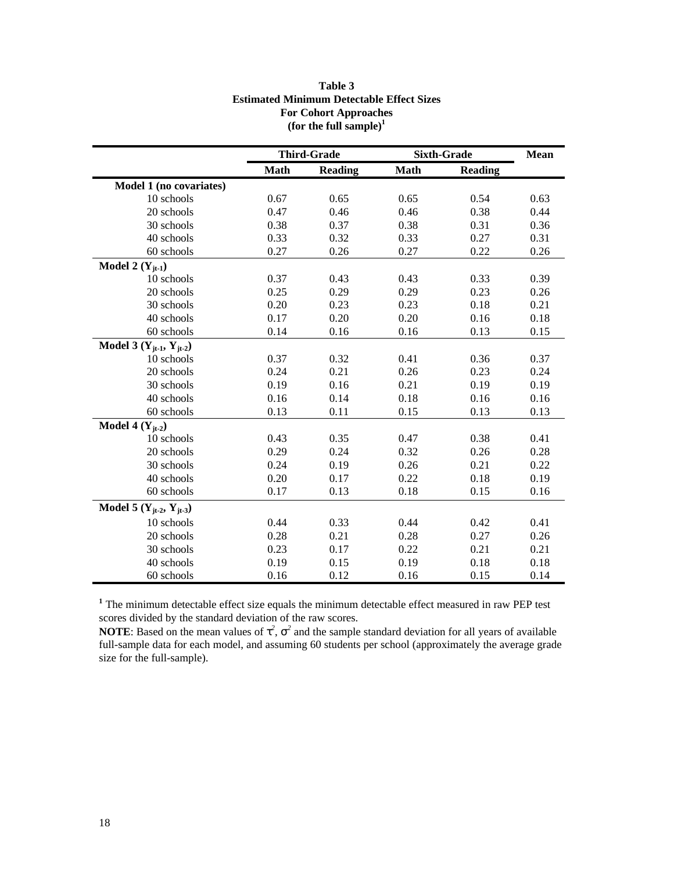|                                     | <b>Third-Grade</b> |                | <b>Sixth-Grade</b> |                | <b>Mean</b> |
|-------------------------------------|--------------------|----------------|--------------------|----------------|-------------|
|                                     | <b>Math</b>        | <b>Reading</b> | <b>Math</b>        | <b>Reading</b> |             |
| Model 1 (no covariates)             |                    |                |                    |                |             |
| 10 schools                          | 0.67               | 0.65           | 0.65               | 0.54           | 0.63        |
| 20 schools                          | 0.47               | 0.46           | 0.46               | 0.38           | 0.44        |
| 30 schools                          | 0.38               | 0.37           | 0.38               | 0.31           | 0.36        |
| 40 schools                          | 0.33               | 0.32           | 0.33               | 0.27           | 0.31        |
| 60 schools                          | 0.27               | 0.26           | 0.27               | 0.22           | 0.26        |
| Model 2 $(Y_{it-1})$                |                    |                |                    |                |             |
| 10 schools                          | 0.37               | 0.43           | 0.43               | 0.33           | 0.39        |
| 20 schools                          | 0.25               | 0.29           | 0.29               | 0.23           | 0.26        |
| 30 schools                          | 0.20               | 0.23           | 0.23               | 0.18           | 0.21        |
| 40 schools                          | 0.17               | 0.20           | 0.20               | 0.16           | 0.18        |
| 60 schools                          | 0.14               | 0.16           | 0.16               | 0.13           | 0.15        |
| Model 3 ( $Y_{jt-1}$ , $Y_{jt-2}$ ) |                    |                |                    |                |             |
| 10 schools                          | 0.37               | 0.32           | 0.41               | 0.36           | 0.37        |
| 20 schools                          | 0.24               | 0.21           | 0.26               | 0.23           | 0.24        |
| 30 schools                          | 0.19               | 0.16           | 0.21               | 0.19           | 0.19        |
| 40 schools                          | 0.16               | 0.14           | 0.18               | 0.16           | 0.16        |
| 60 schools                          | 0.13               | 0.11           | 0.15               | 0.13           | 0.13        |
| Model 4 $(Y_{it-2})$                |                    |                |                    |                |             |
| 10 schools                          | 0.43               | 0.35           | 0.47               | 0.38           | 0.41        |
| 20 schools                          | 0.29               | 0.24           | 0.32               | 0.26           | 0.28        |
| 30 schools                          | 0.24               | 0.19           | 0.26               | 0.21           | 0.22        |
| 40 schools                          | 0.20               | 0.17           | 0.22               | 0.18           | 0.19        |
| 60 schools                          | 0.17               | 0.13           | 0.18               | 0.15           | 0.16        |
| Model 5 ( $Y_{jt-2}$ , $Y_{jt-3}$ ) |                    |                |                    |                |             |
| 10 schools                          | 0.44               | 0.33           | 0.44               | 0.42           | 0.41        |
| 20 schools                          | 0.28               | 0.21           | 0.28               | 0.27           | 0.26        |
| 30 schools                          | 0.23               | 0.17           | 0.22               | 0.21           | 0.21        |
| 40 schools                          | 0.19               | 0.15           | 0.19               | 0.18           | 0.18        |
| 60 schools                          | 0.16               | 0.12           | 0.16               | 0.15           | 0.14        |

# **Table 3 Estimated Minimum Detectable Effect Sizes For Cohort Approaches (for the full sample)<sup>1</sup>**

**<sup>1</sup>** The minimum detectable effect size equals the minimum detectable effect measured in raw PEP test scores divided by the standard deviation of the raw scores.

**NOTE**: Based on the mean values of  $t^2$ ,  $s^2$  and the sample standard deviation for all years of available full-sample data for each model, and assuming 60 students per school (approximately the average grade size for the full-sample).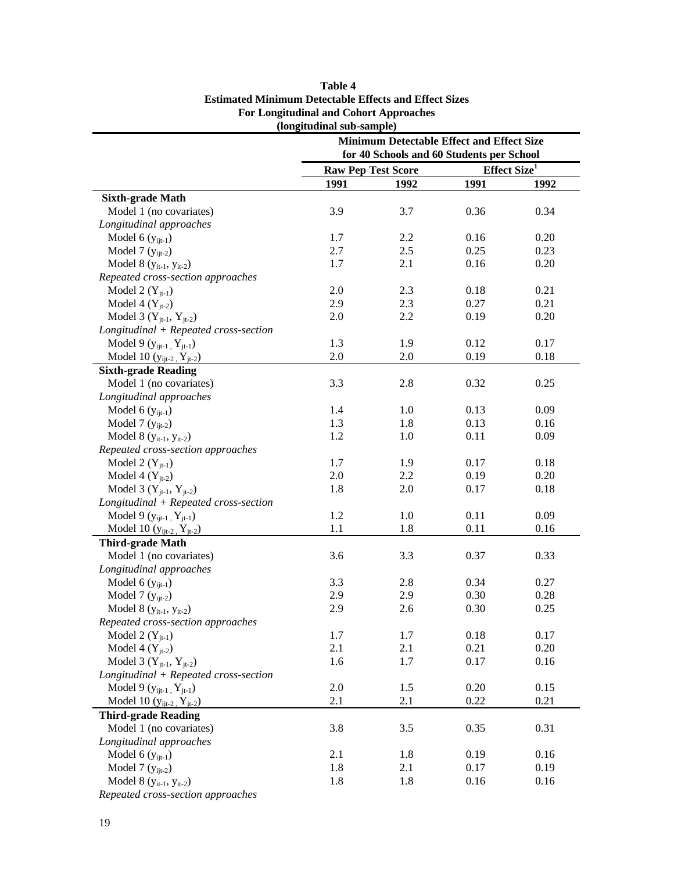|                                       |                                                                                               | (longitudinal sub-sample) |                          |      |  |  |  |
|---------------------------------------|-----------------------------------------------------------------------------------------------|---------------------------|--------------------------|------|--|--|--|
|                                       | <b>Minimum Detectable Effect and Effect Size</b><br>for 40 Schools and 60 Students per School |                           |                          |      |  |  |  |
|                                       | <b>Raw Pep Test Score</b>                                                                     |                           | Effect Size <sup>1</sup> |      |  |  |  |
|                                       | 1991                                                                                          | 1992                      | 1991                     | 1992 |  |  |  |
| <b>Sixth-grade Math</b>               |                                                                                               |                           |                          |      |  |  |  |
| Model 1 (no covariates)               | 3.9                                                                                           | 3.7                       | 0.36                     | 0.34 |  |  |  |
| Longitudinal approaches               |                                                                                               |                           |                          |      |  |  |  |
| Model $6(y_{i t-1})$                  | 1.7                                                                                           | 2.2                       | 0.16                     | 0.20 |  |  |  |
| Model 7 $(y_{ijt-2})$                 | 2.7                                                                                           | 2.5                       | 0.25                     | 0.23 |  |  |  |
| Model 8 $(y_{it-1}, y_{it-2})$        | 1.7                                                                                           | 2.1                       | 0.16                     | 0.20 |  |  |  |
| Repeated cross-section approaches     |                                                                                               |                           |                          |      |  |  |  |
| Model 2 $(Y_{jt-1})$                  | 2.0                                                                                           | 2.3                       | 0.18                     | 0.21 |  |  |  |
| Model 4 $(Y_{it-2})$                  | 2.9                                                                                           | 2.3                       | 0.27                     | 0.21 |  |  |  |
| Model 3 $(Y_{it-1}, Y_{it-2})$        | 2.0                                                                                           | 2.2                       | 0.19                     | 0.20 |  |  |  |
| Longitudinal + Repeated cross-section |                                                                                               |                           |                          |      |  |  |  |
| Model 9 $(y_{i t-1}, Y_{i t-1})$      | 1.3                                                                                           | 1.9                       | 0.12                     | 0.17 |  |  |  |
| Model 10 $(y_{ijt-2}, Y_{jt-2})$      | 2.0                                                                                           | 2.0                       | 0.19                     | 0.18 |  |  |  |
| <b>Sixth-grade Reading</b>            |                                                                                               |                           |                          |      |  |  |  |
| Model 1 (no covariates)               | 3.3                                                                                           | 2.8                       | 0.32                     | 0.25 |  |  |  |
| Longitudinal approaches               |                                                                                               |                           |                          |      |  |  |  |
|                                       | 1.4                                                                                           | 1.0                       | 0.13                     | 0.09 |  |  |  |
| Model 6 $(y_{ijt-1})$                 | 1.3                                                                                           |                           | 0.13                     |      |  |  |  |
| Model 7 $(y_{ijt-2})$                 |                                                                                               | 1.8                       |                          | 0.16 |  |  |  |
| Model 8 $(y_{it-1}, y_{it-2})$        | 1.2                                                                                           | 1.0                       | 0.11                     | 0.09 |  |  |  |
| Repeated cross-section approaches     |                                                                                               |                           |                          |      |  |  |  |
| Model 2 $(Y_{it-1})$                  | 1.7                                                                                           | 1.9                       | 0.17                     | 0.18 |  |  |  |
| Model 4 $(Y_{it-2})$                  | 2.0                                                                                           | 2.2                       | 0.19                     | 0.20 |  |  |  |
| Model 3 $(Y_{jt-1}, Y_{jt-2})$        | 1.8                                                                                           | 2.0                       | 0.17                     | 0.18 |  |  |  |
| Longitudinal + Repeated cross-section |                                                                                               |                           |                          |      |  |  |  |
| Model 9 $(y_{ijt-1}, Y_{jt-1})$       | 1.2                                                                                           | 1.0                       | 0.11                     | 0.09 |  |  |  |
| Model 10 $(y_{ijt-2}, Y_{jt-2})$      | 1.1                                                                                           | 1.8                       | 0.11                     | 0.16 |  |  |  |
| <b>Third-grade Math</b>               |                                                                                               |                           |                          |      |  |  |  |
| Model 1 (no covariates)               | 3.6                                                                                           | 3.3                       | 0.37                     | 0.33 |  |  |  |
| Longitudinal approaches               |                                                                                               |                           |                          |      |  |  |  |
| Model 6 $(y_{ijt-1})$                 | 3.3                                                                                           | 2.8                       | 0.34                     | 0.27 |  |  |  |
| Model 7 $(y_{ijt-2})$                 | 2.9                                                                                           | 2.9                       | 0.30                     | 0.28 |  |  |  |
| Model 8 $(y_{it-1}, y_{it-2})$        | 2.9                                                                                           | 2.6                       | 0.30                     | 0.25 |  |  |  |
| Repeated cross-section approaches     |                                                                                               |                           |                          |      |  |  |  |
| Model 2 $(Y_{jt-1})$                  | 1.7                                                                                           | 1.7                       | 0.18                     | 0.17 |  |  |  |
| Model 4 $(Y_{it-2})$                  | 2.1                                                                                           | 2.1                       | 0.21                     | 0.20 |  |  |  |
| Model 3 $(Y_{jt-1}, Y_{jt-2})$        | 1.6                                                                                           | 1.7                       | 0.17                     | 0.16 |  |  |  |
| Longitudinal + Repeated cross-section |                                                                                               |                           |                          |      |  |  |  |
| Model 9 $(y_{ijt-1}, Y_{jt-1})$       | 2.0                                                                                           | 1.5                       | 0.20                     | 0.15 |  |  |  |
| Model 10 $(y_{ijt-2}, Y_{jt-2})$      | 2.1                                                                                           | 2.1                       | 0.22                     | 0.21 |  |  |  |
| <b>Third-grade Reading</b>            |                                                                                               |                           |                          |      |  |  |  |
| Model 1 (no covariates)               | 3.8                                                                                           | 3.5                       | 0.35                     | 0.31 |  |  |  |
| Longitudinal approaches               |                                                                                               |                           |                          |      |  |  |  |
| Model $6(y_{ijt-1})$                  | 2.1                                                                                           | 1.8                       | 0.19                     | 0.16 |  |  |  |
| Model 7 $(y_{ijt-2})$                 | 1.8                                                                                           | 2.1                       | 0.17                     | 0.19 |  |  |  |
| Model 8 $(y_{it-1}, y_{it-2})$        | 1.8                                                                                           | 1.8                       | 0.16                     | 0.16 |  |  |  |
| Repeated cross-section approaches     |                                                                                               |                           |                          |      |  |  |  |

| Table 4                                                      |
|--------------------------------------------------------------|
| <b>Estimated Minimum Detectable Effects and Effect Sizes</b> |
| <b>For Longitudinal and Cohort Approaches</b>                |
|                                                              |